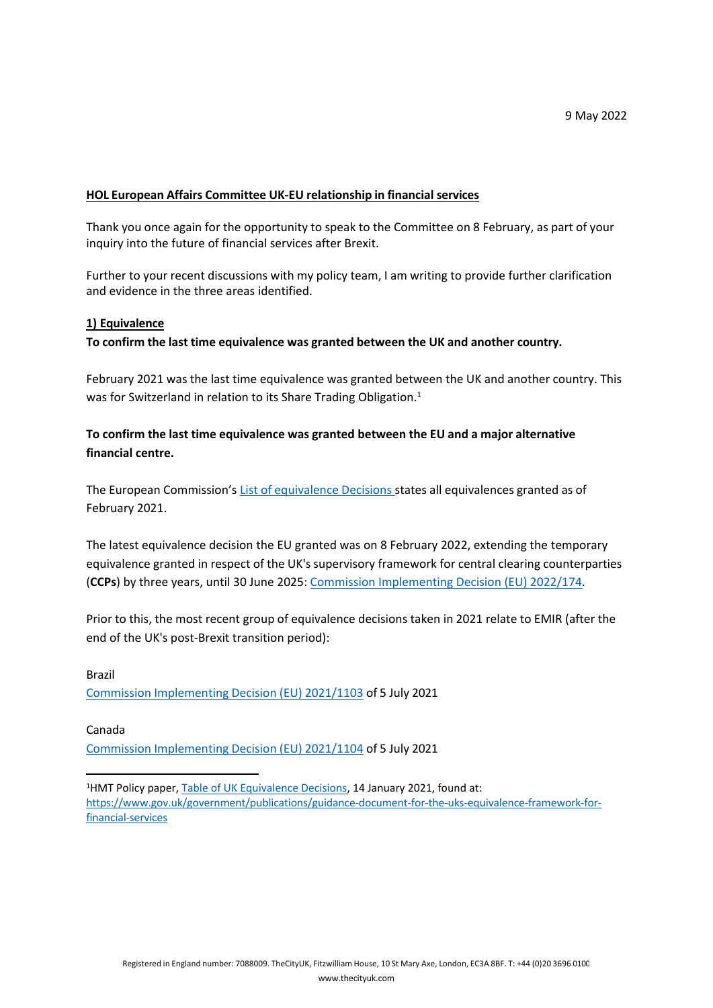#### **HOL European Affairs Committee UK-EU relationship in financial services**

Thank you once again for the opportunity to speak to the Committee on 8 February, as part of your inquiry into the future of financial services after Brexit.

Further to your recent discussions with my policy team, I am writing to provide further clarification and evidence in the three areas identified.

#### **1) Equivalence**

**To confirm the last time equivalence was granted between the UK and another country.**

February 2021 was the last time equivalence was granted between the UK and another country. This was for Switzerland in relation to its Share Trading Obligation.<sup>1</sup>

# **To confirm the last time equivalence was granted between the EU and a major alternative financial centre.**

The European Commission's [List](https://ec.europa.eu/info/sites/default/files/business_economy_euro/banking_and_finance/documents/overview-table-equivalence-decisions_en.pdf) [of](https://ec.europa.eu/info/sites/default/files/business_economy_euro/banking_and_finance/documents/overview-table-equivalence-decisions_en.pdf) [equivalence](https://ec.europa.eu/info/sites/default/files/business_economy_euro/banking_and_finance/documents/overview-table-equivalence-decisions_en.pdf) [Decisions](https://ec.europa.eu/info/sites/default/files/business_economy_euro/banking_and_finance/documents/overview-table-equivalence-decisions_en.pdf) states all equivalences granted as of February 2021.

The latest equivalence decision the EU granted was on 8 February 2022, extending the temporary equivalence granted in respect of the UK's supervisory framework for central clearing counterparties (**CCPs**) by three years, until 30 June 2025: [Commission](https://eur-lex.europa.eu/legal-content/EN/TXT/?uri=CELEX%3A32022D0174) [Implementing](https://eur-lex.europa.eu/legal-content/EN/TXT/?uri=CELEX%3A32022D0174) [Decision](https://eur-lex.europa.eu/legal-content/EN/TXT/?uri=CELEX%3A32022D0174) [\(EU\)](https://eur-lex.europa.eu/legal-content/EN/TXT/?uri=CELEX%3A32022D0174) [2022/174.](https://eur-lex.europa.eu/legal-content/EN/TXT/?uri=CELEX%3A32022D0174)

Prior to this, the most recent group of equivalence decisions taken in 2021 relate to EMIR (after the end of the UK's post-Brexit transition period):

# Brazil [Commission](https://eur-lex.europa.eu/legal-content/EN/TXT/?uri=CELEX%3A32021D1103) [Implementing](https://eur-lex.europa.eu/legal-content/EN/TXT/?uri=CELEX%3A32021D1103) [Decision](https://eur-lex.europa.eu/legal-content/EN/TXT/?uri=CELEX%3A32021D1103) [\(EU\)](https://eur-lex.europa.eu/legal-content/EN/TXT/?uri=CELEX%3A32021D1103) [2021/1103](https://eur-lex.europa.eu/legal-content/EN/TXT/?uri=CELEX%3A32021D1103) [o](https://eur-lex.europa.eu/legal-content/EN/TXT/?uri=CELEX%3A32021D1103)f 5 July 2021

#### Canada

[Commission](https://eur-lex.europa.eu/legal-content/EN/TXT/?uri=CELEX%3A32021D1104) [Implementing](https://eur-lex.europa.eu/legal-content/EN/TXT/?uri=CELEX%3A32021D1104) [Decision](https://eur-lex.europa.eu/legal-content/EN/TXT/?uri=CELEX%3A32021D1104) [\(EU\)](https://eur-lex.europa.eu/legal-content/EN/TXT/?uri=CELEX%3A32021D1104) [2021/1104](https://eur-lex.europa.eu/legal-content/EN/TXT/?uri=CELEX%3A32021D1104) [o](https://eur-lex.europa.eu/legal-content/EN/TXT/?uri=CELEX%3A32021D1104)f 5 July 2021

<sup>1</sup>HMT Policy paper, [Table](https://assets.publishing.service.gov.uk/government/uploads/system/uploads/attachment_data/file/952320/Table_of_UK_Equivalence_Decisions_Jan_2021.xlsx) [of](https://assets.publishing.service.gov.uk/government/uploads/system/uploads/attachment_data/file/952320/Table_of_UK_Equivalence_Decisions_Jan_2021.xlsx) [UK](https://assets.publishing.service.gov.uk/government/uploads/system/uploads/attachment_data/file/952320/Table_of_UK_Equivalence_Decisions_Jan_2021.xlsx) [Equivalence](https://assets.publishing.service.gov.uk/government/uploads/system/uploads/attachment_data/file/952320/Table_of_UK_Equivalence_Decisions_Jan_2021.xlsx) [Decisions,](https://assets.publishing.service.gov.uk/government/uploads/system/uploads/attachment_data/file/952320/Table_of_UK_Equivalence_Decisions_Jan_2021.xlsx) 14 January 2021, found at: https://www[.](https://www.gov.uk/government/publications/guidance-document-for-the-uks-equivalence-framework-for-financial-services)go[v.u](https://www.gov.uk/government/publications/guidance-document-for-the-uks-equivalence-framework-for-financial-services)k[/](https://www.gov.uk/government/publications/guidance-document-for-the-uks-equivalence-framework-for-financial-services)governmen[t/p](https://www.gov.uk/government/publications/guidance-document-for-the-uks-equivalence-framework-for-financial-services)ublication[s/g](https://www.gov.uk/government/publications/guidance-document-for-the-uks-equivalence-framework-for-financial-services)uidance[-d](https://www.gov.uk/government/publications/guidance-document-for-the-uks-equivalence-framework-for-financial-services)ocument[-](https://www.gov.uk/government/publications/guidance-document-for-the-uks-equivalence-framework-for-financial-services)fo[r-t](https://www.gov.uk/government/publications/guidance-document-for-the-uks-equivalence-framework-for-financial-services)h[e-](https://www.gov.uk/government/publications/guidance-document-for-the-uks-equivalence-framework-for-financial-services)uks[-e](https://www.gov.uk/government/publications/guidance-document-for-the-uks-equivalence-framework-for-financial-services)quivalenc[e-](https://www.gov.uk/government/publications/guidance-document-for-the-uks-equivalence-framework-for-financial-services)framewor[k-](https://www.gov.uk/government/publications/guidance-document-for-the-uks-equivalence-framework-for-financial-services)forfinancia[l-](https://www.gov.uk/government/publications/guidance-document-for-the-uks-equivalence-framework-for-financial-services)services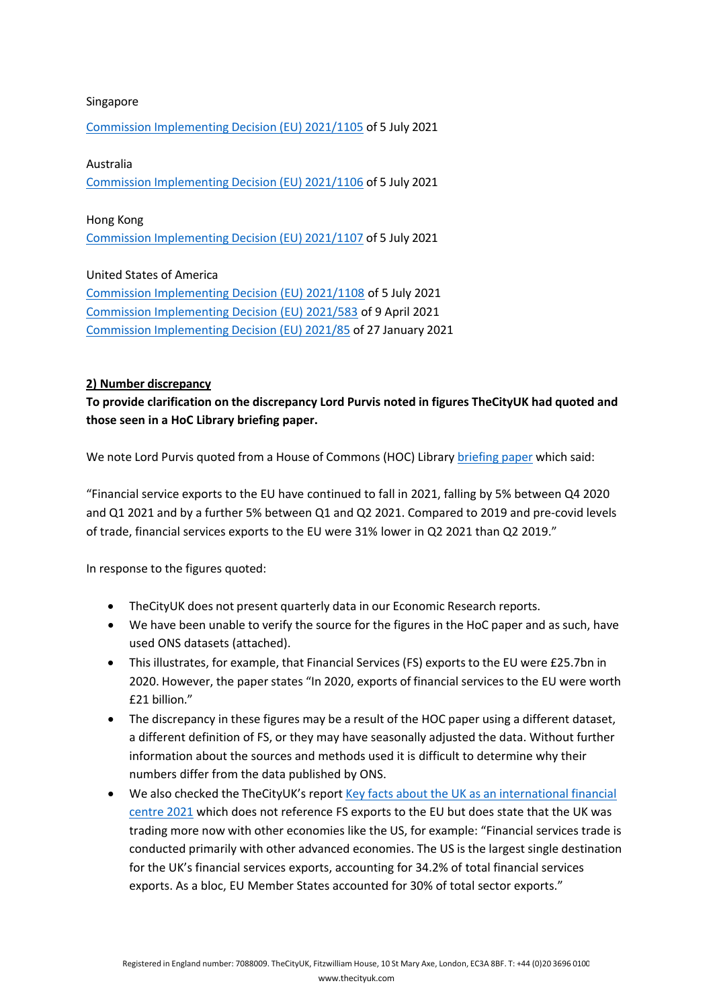### Singapore

[Commission](https://eur-lex.europa.eu/legal-content/EN/TXT/?uri=CELEX%3A32021D1105) [Implementing](https://eur-lex.europa.eu/legal-content/EN/TXT/?uri=CELEX%3A32021D1105) [Decision](https://eur-lex.europa.eu/legal-content/EN/TXT/?uri=CELEX%3A32021D1105) [\(EU\)](https://eur-lex.europa.eu/legal-content/EN/TXT/?uri=CELEX%3A32021D1105) [2021/1105](https://eur-lex.europa.eu/legal-content/EN/TXT/?uri=CELEX%3A32021D1105) [o](https://eur-lex.europa.eu/legal-content/EN/TXT/?uri=CELEX%3A32021D1105)f 5 July 2021

### Australia

[Commission](https://eur-lex.europa.eu/legal-content/EN/TXT/?uri=CELEX%3A32021D1106) [Implementing](https://eur-lex.europa.eu/legal-content/EN/TXT/?uri=CELEX%3A32021D1106) [Decision](https://eur-lex.europa.eu/legal-content/EN/TXT/?uri=CELEX%3A32021D1106) [\(EU\)](https://eur-lex.europa.eu/legal-content/EN/TXT/?uri=CELEX%3A32021D1106) [2021/1106](https://eur-lex.europa.eu/legal-content/EN/TXT/?uri=CELEX%3A32021D1106) [o](https://eur-lex.europa.eu/legal-content/EN/TXT/?uri=CELEX%3A32021D1106)f 5 July 2021

#### Hong Kong

[Commission](https://eur-lex.europa.eu/legal-content/EN/TXT/?uri=CELEX%3A32021D1107) [Implementing](https://eur-lex.europa.eu/legal-content/EN/TXT/?uri=CELEX%3A32021D1107) [Decision](https://eur-lex.europa.eu/legal-content/EN/TXT/?uri=CELEX%3A32021D1107) [\(EU\)](https://eur-lex.europa.eu/legal-content/EN/TXT/?uri=CELEX%3A32021D1107) [2021/1107](https://eur-lex.europa.eu/legal-content/EN/TXT/?uri=CELEX%3A32021D1107) [o](https://eur-lex.europa.eu/legal-content/EN/TXT/?uri=CELEX%3A32021D1107)f 5 July 2021

# United States of America

[Commission](https://eur-lex.europa.eu/legal-content/EN/TXT/?uri=CELEX%3A32021D1108) [Implementing](https://eur-lex.europa.eu/legal-content/EN/TXT/?uri=CELEX%3A32021D1108) [Decision](https://eur-lex.europa.eu/legal-content/EN/TXT/?uri=CELEX%3A32021D1108) [\(EU\)](https://eur-lex.europa.eu/legal-content/EN/TXT/?uri=CELEX%3A32021D1108) [2021/1108](https://eur-lex.europa.eu/legal-content/EN/TXT/?uri=CELEX%3A32021D1108) of 5 July 2021 [Commission](https://eur-lex.europa.eu/legal-content/EN/TXT/?uri=CELEX%3A32021D0583) [Implementing](https://eur-lex.europa.eu/legal-content/EN/TXT/?uri=CELEX%3A32021D0583) [Decision](https://eur-lex.europa.eu/legal-content/EN/TXT/?uri=CELEX%3A32021D0583) [\(EU\)](https://eur-lex.europa.eu/legal-content/EN/TXT/?uri=CELEX%3A32021D0583) [2021/583](https://eur-lex.europa.eu/legal-content/EN/TXT/?uri=CELEX%3A32021D0583) [o](https://eur-lex.europa.eu/legal-content/EN/TXT/?uri=CELEX%3A32021D0583)f 9 April 2021 [Commission](https://eur-lex.europa.eu/legal-content/EN/TXT/?uri=CELEX%3A32021D0085) [Implementing](https://eur-lex.europa.eu/legal-content/EN/TXT/?uri=CELEX%3A32021D0085) [Decision](https://eur-lex.europa.eu/legal-content/EN/TXT/?uri=CELEX%3A32021D0085) [\(EU\)](https://eur-lex.europa.eu/legal-content/EN/TXT/?uri=CELEX%3A32021D0085) [2021/85](https://eur-lex.europa.eu/legal-content/EN/TXT/?uri=CELEX%3A32021D0085) of 27 January 2021

# **2) Number discrepancy**

**To provide clarification on the discrepancy Lord Purvis noted in figures TheCityUK had quoted and those seen in a HoC Library briefing paper.**

We note Lord Purvis quoted from a House of Commons (HOC) Library [briefing](https://researchbriefings.files.parliament.uk/documents/SN06193/SN06193.pdf) [paper](https://researchbriefings.files.parliament.uk/documents/SN06193/SN06193.pdf) which said:

"Financial service exports to the EU have continued to fall in 2021, falling by 5% between Q4 2020 and Q1 2021 and by a further 5% between Q1 and Q2 2021. Compared to 2019 and pre-covid levels of trade, financial services exports to the EU were 31% lower in Q2 2021 than Q2 2019."

In response to the figures quoted:

- TheCityUK does not present quarterly data in our Economic Research reports.
- We have been unable to verify the source for the figures in the HoC paper and as such, have used ONS datasets (attached).
- This illustrates, for example, that Financial Services (FS) exports to the EU were £25.7bn in 2020. However, the paper states "In 2020, exports of financial services to the EU were worth £21 billion."
- The discrepancy in these figures may be a result of the HOC paper using a different dataset, a different definition of FS, or they may have seasonally adjusted the data. Without further information about the sources and methods used it is difficult to determine why their numbers differ from the data published by ONS.
- We also checked the TheCityUK's report [Key](https://www.thecityuk.com/assets/2021/Reports/faf7c14e57/Key-facts-about-the-UK-as-an-international-financial-centre-2021-v2.pdf) [facts](https://www.thecityuk.com/assets/2021/Reports/faf7c14e57/Key-facts-about-the-UK-as-an-international-financial-centre-2021-v2.pdf) [about](https://www.thecityuk.com/assets/2021/Reports/faf7c14e57/Key-facts-about-the-UK-as-an-international-financial-centre-2021-v2.pdf) [the](https://www.thecityuk.com/assets/2021/Reports/faf7c14e57/Key-facts-about-the-UK-as-an-international-financial-centre-2021-v2.pdf) [UK](https://www.thecityuk.com/assets/2021/Reports/faf7c14e57/Key-facts-about-the-UK-as-an-international-financial-centre-2021-v2.pdf) [as](https://www.thecityuk.com/assets/2021/Reports/faf7c14e57/Key-facts-about-the-UK-as-an-international-financial-centre-2021-v2.pdf) [an](https://www.thecityuk.com/assets/2021/Reports/faf7c14e57/Key-facts-about-the-UK-as-an-international-financial-centre-2021-v2.pdf) [international](https://www.thecityuk.com/assets/2021/Reports/faf7c14e57/Key-facts-about-the-UK-as-an-international-financial-centre-2021-v2.pdf) [financial](https://www.thecityuk.com/assets/2021/Reports/faf7c14e57/Key-facts-about-the-UK-as-an-international-financial-centre-2021-v2.pdf) [centre](https://www.thecityuk.com/assets/2021/Reports/faf7c14e57/Key-facts-about-the-UK-as-an-international-financial-centre-2021-v2.pdf) [2021](https://www.thecityuk.com/assets/2021/Reports/faf7c14e57/Key-facts-about-the-UK-as-an-international-financial-centre-2021-v2.pdf) which does not reference FS exports to the EU but does state that the UK was trading more now with other economies like the US, for example: "Financial services trade is conducted primarily with other advanced economies. The US is the largest single destination for the UK's financial services exports, accounting for 34.2% of total financial services exports. As a bloc, EU Member States accounted for 30% of total sector exports."